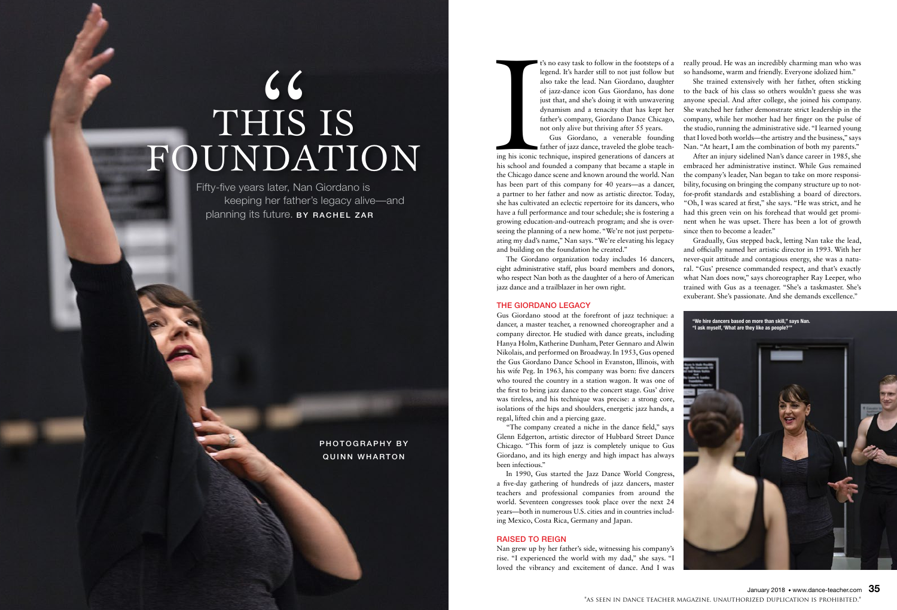t's no easy task to follow in the footsteps of a legend. It's harder still to not just follow but also take the lead. Nan Giordano, daughter of jazz-dance icon Gus Giordano, has done just that, and she's doing it with unwavering dynamism and a tenacity that has kept her father's company, Giordano Dance Chicago, not only alive but thriving after 55 years.

Implies<br>
Implies<br>
Implies<br>
Implies<br>
Implies<br>
Implies<br>
Implies<br>
Implies<br>
Implies<br>
Implies<br>
Implies<br>
Implies<br>
Implies<br>
Implies<br>
Implies<br>
Implies<br>
Implies<br>
Implies<br>
Implies<br>
Implies<br>
Implies<br>
Implies<br>
Implies<br>
Implies<br>
Implie Gus Giordano, a venerable founding father of jazz dance, traveled the globe teaching his iconic technique, inspired generations of dancers at his school and founded a company that became a staple in the Chicago dance scene and known around the world. Nan has been part of this company for 40 years—as a dancer, a partner to her father and now as artistic director. Today, she has cultivated an eclectic repertoire for its dancers, who have a full performance and tour schedule; she is fostering a growing education-and-outreach program; and she is overseeing the planning of a new home. "We're not just perpetuating my dad's name," Nan says. "We're elevating his legacy and building on the foundation he created."

The Giordano organization today includes 16 dancers, eight administrative staff, plus board members and donors, who respect Nan both as the daughter of a hero of American jazz dance and a trailblazer in her own right.

#### THE GIORDANO LEGACY

Gus Giordano stood at the forefront of jazz technique: a dancer, a master teacher, a renowned choreographer and a company director. He studied with dance greats, including Hanya Holm, Katherine Dunham, Peter Gennaro and Alwin Nikolais, and performed on Broadway. In 1953, Gus opened the Gus Giordano Dance School in Evanston, Illinois, with his wife Peg. In 1963, his company was born: five dancers who toured the country in a station wagon. It was one of the first to bring jazz dance to the concert stage. Gus' drive was tireless, and his technique was precise: a strong core, isolations of the hips and shoulders, energetic jazz hands, a regal, lifted chin and a piercing gaze.

"The company created a niche in the dance field," says Glenn Edgerton, artistic director of Hubbard Street Dance Chicago. "This form of jazz is completely unique to Gus Giordano, and its high energy and high impact has always been infectious."

In 1990, Gus started the Jazz Dance World Congress, a five-day gathering of hundreds of jazz dancers, master teachers and professional companies from around the world. Seventeen congresses took place over the next 24 years—both in numerous U.S. cities and in countries including Mexico, Costa Rica, Germany and Japan.

## RAISED TO REIGN

Nan grew up by her father's side, witnessing his company's rise. "I experienced the world with my dad," she says. "I loved the vibrancy and excitement of dance. And I was



really proud. He was an incredibly charming man who was so handsome, warm and friendly. Everyone idolized him."

She trained extensively with her father, often sticking to the back of his class so others wouldn't guess she was anyone special. And after college, she joined his company. She watched her father demonstrate strict leadership in the company, while her mother had her finger on the pulse of the studio, running the administrative side. "I learned young that I loved both worlds—the artistry and the business," says Nan. "At heart, I am the combination of both my parents."

After an injury sidelined Nan's dance career in 1985, she embraced her administrative instinct. While Gus remained the company's leader, Nan began to take on more responsibility, focusing on bringing the company structure up to notfor-profit standards and establishing a board of directors. "Oh, I was scared at first," she says. "He was strict, and he had this green vein on his forehead that would get prominent when he was upset. There has been a lot of growth since then to become a leader."

Gradually, Gus stepped back, letting Nan take the lead, and officially named her artistic director in 1993. With her never-quit attitude and contagious energy, she was a natural. "Gus' presence commanded respect, and that's exactly what Nan does now," says choreographer Ray Leeper, who trained with Gus as a teenager. "She's a taskmaster. She's exuberant. She's passionate. And she demands excellence."

Fifty-five years later, Nan Giordano is keeping her father's legacy alive—and planning its future. BY RACHEL ZAR

# THIS IS CC<br>IIS<br>DA FOUNDATION

**"We hire dancers based on more than skill," says Nan. "I ask myself, 'What are they like as people?'"**



PHOTOGRAPHY BY QUINN WHARTON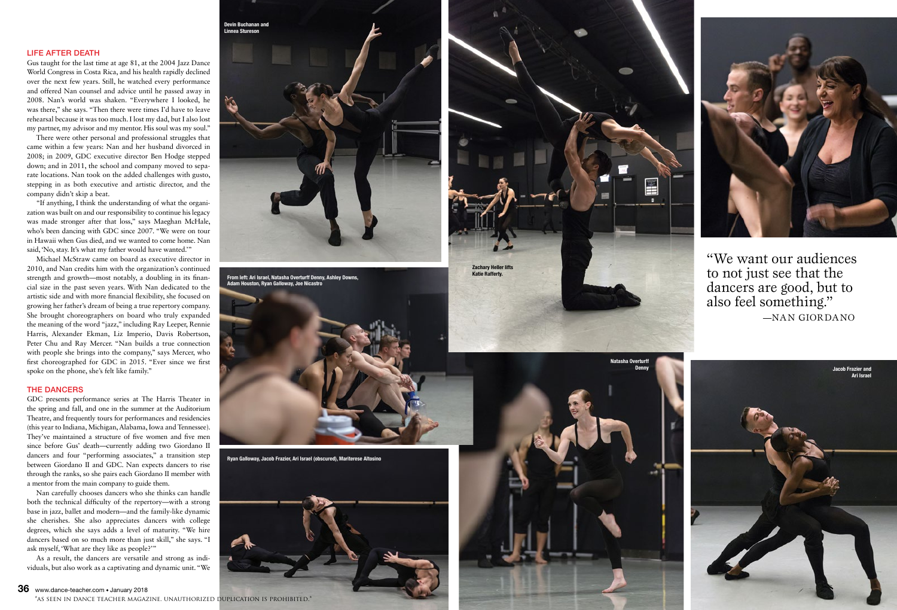

—NAN GIORDANO

### LIFE AFTER DEATH

Gus taught for the last time at age 81, at the 2004 Jazz Dance World Congress in Costa Rica, and his health rapidly declined over the next few years. Still, he watched every performance and offered Nan counsel and advice until he passed away in 2008. Nan's world was shaken. "Everywhere I looked, he was there," she says. "Then there were times I'd have to leave rehearsal because it was too much. I lost my dad, but I also lost my partner, my advisor and my mentor. His soul was my soul."

There were other personal and professional struggles that came within a few years: Nan and her husband divorced in 2008; in 2009, GDC executive director Ben Hodge stepped down; and in 2011, the school and company moved to sepa rate locations. Nan took on the added challenges with gusto, stepping in as both executive and artistic director, and the company didn't skip a beat.

"If anything, I think the understanding of what the organi zation was built on and our responsibility to continue his legacy was made stronger after that loss," says Maeghan McHale, who's been dancing with GDC since 2007. "We were on tour in Hawaii when Gus died, and we wanted to come home. Nan said, 'No, stay. It's what my father would have wanted.'"

Michael McStraw came on board as executive director in 2010, and Nan credits him with the organization's continued strength and growth—most notably, a doubling in its financial size in the past seven years. With Nan dedicated to the artistic side and with more financial flexibility, she focused on growing her father's dream of being a true repertory company. She brought choreographers on board who truly expanded the meaning of the word "jazz," including Ray Leeper, Rennie Harris, Alexander Ekman, Liz Imperio, Davis Robertson, Peter Chu and Ray Mercer. "Nan builds a true connection with people she brings into the company," says Mercer, who first choreographed for GDC in 2015. "Ever since we first spoke on the phone, she's felt like family."

#### THE DANCERS

GDC presents performance series at The Harris Theater in the spring and fall, and one in the summer at the Auditorium Theatre, and frequently tours for performances and residencies (this year to Indiana, Michigan, Alabama, Iowa and Tennessee). They've maintained a structure of five women and five men since before Gus' death—currently adding two Giordano II dancers and four "performing associates," a transition step between Giordano II and GDC. Nan expects dancers to rise through the ranks, so she pairs each Giordano II member with a mentor from the main company to guide them.

Nan carefully chooses dancers who she thinks can handle both the technical difficulty of the repertory—with a strong base in jazz, ballet and modern—and the family-like dynamic she cherishes. She also appreciates dancers with college degrees, which she says adds a level of maturity. "We hire dancers based on so much more than just skill," she says. "I ask myself, 'What are they like as people?'"

As a result, the dancers are versatile and strong as indi viduals, but also work as a captivating and dynamic unit. "We

**36** www.dance-teacher.com • January 2018



**From left: Ari Israel, Natasha Overturff Denny, Ashley Downs, Adam Houston, Ryan Galloway, Joe Nicastro**





**Ryan Galloway, Jacob Frazier, Ari Israel (obscured), Mariterese Altosino**



\*as seen in dance teacher magazine. unauthorized duplication is prohibited.\*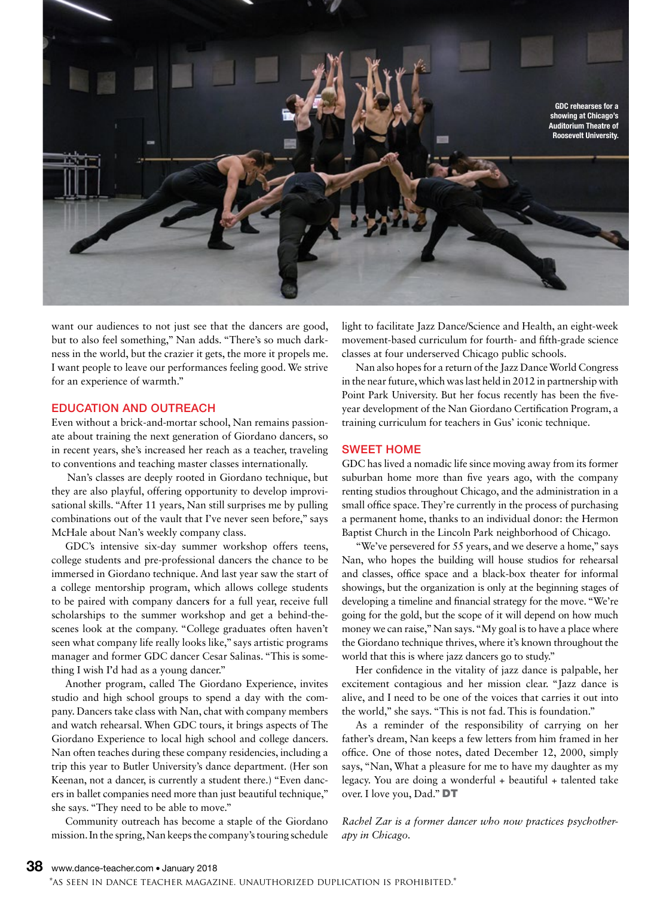

want our audiences to not just see that the dancers are good, but to also feel something," Nan adds. "There's so much darkness in the world, but the crazier it gets, the more it propels me. I want people to leave our performances feeling good. We strive for an experience of warmth."

#### EDUCATION AND OUTREACH

Even without a brick-and-mortar school, Nan remains passionate about training the next generation of Giordano dancers, so in recent years, she's increased her reach as a teacher, traveling to conventions and teaching master classes internationally.

 Nan's classes are deeply rooted in Giordano technique, but they are also playful, offering opportunity to develop improvisational skills. "After 11 years, Nan still surprises me by pulling combinations out of the vault that I've never seen before," says McHale about Nan's weekly company class.

GDC's intensive six-day summer workshop offers teens, college students and pre-professional dancers the chance to be immersed in Giordano technique. And last year saw the start of a college mentorship program, which allows college students to be paired with company dancer**s** for a full year, receive full scholarships to the summer workshop and get a behind-thescenes look at the company. "College graduates often haven't seen what company life really looks like," says artistic programs manager and former GDC dancer Cesar Salinas. "This is something I wish I**'**d had as a young dancer."

Another program, called The Giordano Experience, invites studio and high school groups to spend a day with the company. Dancers take class with Nan, chat with company members and watch rehearsal. When GDC tours, it brings aspects of The Giordano Experience to local high school and college dancers. Nan often teaches during these company residencies, including a trip this year to Butler University's dance department. (Her son Keenan, not a dancer, is currently a student there.) "Even dancers in ballet companies need more than just beautiful technique," she says. "They need to be able to move."

Community outreach has become a staple of the Giordano mission. In the spring, Nan keeps the company's touring schedule light to facilitate Jazz Dance/Science and Health, an eight-week movement-based curriculum for fourth- and fifth-grade science classes at four underserved Chicago public schools.

Nan also hopes for a return of the Jazz Dance World Congress in the near future, which was last held in 2012 in partnership with Point Park University. But her focus recently has been the fiveyear development of the Nan Giordano Certification Program, a training curriculum for teachers in Gus' iconic technique.

#### SWEET HOME

GDC has lived a nomadic life since moving away from its former suburban home more than five years ago, with the company renting studios throughout Chicago, and the administration in a small office space. They're currently in the process of purchasing a permanent home, thanks to an individual donor: the Hermon Baptist Church in the Lincoln Park neighborhood of Chicago.

"We've persevered for 55 years, and we deserve a home," says Nan, who hopes the building will house studios for rehearsal and classes, office space and a black-box theater for informal showings, but the organization is only at the beginning stages of developing a timeline and financial strategy for the move. "We're going for the gold, but the scope of it will depend on how much money we can raise," Nan says. "My goal is to have a place where the Giordano technique thrives, where it's known throughout the world that this is where jazz dancers go to study."

Her confidence in the vitality of jazz dance is palpable, her excitement contagious and her mission clear. "Jazz dance is alive, and I need to be one of the voices that carries it out into the world," she says. "This is not fad. This is foundation."

As a reminder of the responsibility of carrying on her father's dream, Nan keeps a few letters from him framed in her office. One of those notes, dated December 12, 2000, simply says, "Nan, What a pleasure for me to have my daughter as my legacy. You are doing a wonderful + beautiful + talented take over. I love you, Dad." DT

*Rachel Zar is a former dancer who now practices psychotherapy in Chicago.*

\*as seen in dance teacher magazine. unauthorized duplication is prohibited.\*